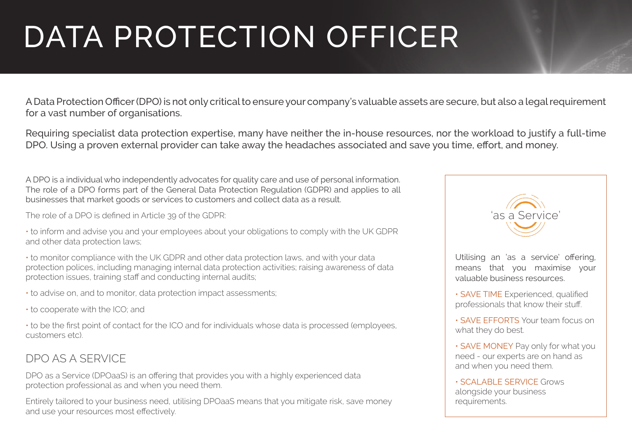## DATA PROTECTION OFFICER

A Data Protection Officer (DPO) is not only critical to ensure your company's valuable assets are secure, but also a legal requirement for a vast number of organisations.

Requiring specialist data protection expertise, many have neither the in-house resources, nor the workload to justify a full-time DPO. Using a proven external provider can take away the headaches associated and save you time, effort, and money.

A DPO is a individual who independently advocates for quality care and use of personal information. The role of a DPO forms part of the General Data Protection Regulation (GDPR) and applies to all businesses that market goods or services to customers and collect data as a result.

The role of a DPO is defined in Article 39 of the GDPR:

• to inform and advise you and your employees about your obligations to comply with the UK GDPR and other data protection laws;

• to monitor compliance with the UK GDPR and other data protection laws, and with your data protection polices, including managing internal data protection activities; raising awareness of data protection issues, training staff and conducting internal audits;

• to advise on, and to monitor, data protection impact assessments;

• to cooperate with the ICO; and

• to be the first point of contact for the ICO and for individuals whose data is processed (employees, customers etc).

## DPO AS A SERVICE

DPO as a Service (DPOaaS) is an offering that provides you with a highly experienced data protection professional as and when you need them.

Entirely tailored to your business need, utilising DPOaaS means that you mitigate risk, save money and use your resources most effectively.



Utilising an 'as a service' offering, means that you maximise your valuable business resources.

• SAVE TIME Experienced, qualified professionals that know their stuff.

• SAVE EFFORTS Your team focus on what they do best.

• SAVE MONEY Pay only for what you need - our experts are on hand as and when you need them.

• SCALABLE SERVICE Grows alongside your business requirements.